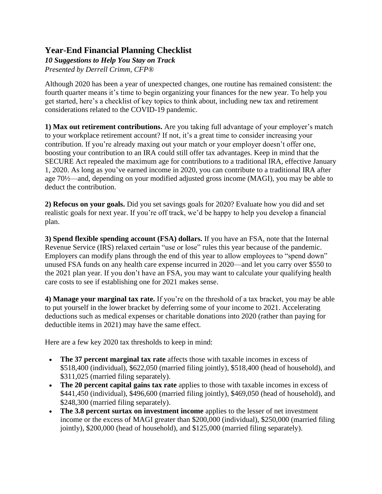## **Year-End Financial Planning Checklist**

## *10 Suggestions to Help You Stay on Track Presented by Derrell Crimm, CFP®*

Although 2020 has been a year of unexpected changes, one routine has remained consistent: the fourth quarter means it's time to begin organizing your finances for the new year. To help you get started, here's a checklist of key topics to think about, including new tax and retirement considerations related to the COVID-19 pandemic.

**1) Max out retirement contributions.** Are you taking full advantage of your employer's match to your workplace retirement account? If not, it's a great time to consider increasing your contribution. If you're already maxing out your match or your employer doesn't offer one, boosting your contribution to an IRA could still offer tax advantages. Keep in mind that the SECURE Act repealed the maximum age for contributions to a traditional IRA, effective January 1, 2020. As long as you've earned income in 2020, you can contribute to a traditional IRA after age 70½—and, depending on your modified adjusted gross income (MAGI), you may be able to deduct the contribution.

**2) Refocus on your goals.** Did you set savings goals for 2020? Evaluate how you did and set realistic goals for next year. If you're off track, we'd be happy to help you develop a financial plan.

**3) Spend flexible spending account (FSA) dollars.** If you have an FSA, note that the Internal Revenue Service (IRS) relaxed certain "use or lose" rules this year because of the pandemic. Employers can modify plans through the end of this year to allow employees to "spend down" unused FSA funds on any health care expense incurred in 2020—and let you carry over \$550 to the 2021 plan year. If you don't have an FSA, you may want to calculate your qualifying health care costs to see if establishing one for 2021 makes sense.

**4) Manage your marginal tax rate.** If you're on the threshold of a tax bracket, you may be able to put yourself in the lower bracket by deferring some of your income to 2021. Accelerating deductions such as medical expenses or charitable donations into 2020 (rather than paying for deductible items in 2021) may have the same effect.

Here are a few key 2020 tax thresholds to keep in mind:

- **The 37 percent marginal tax rate** affects those with taxable incomes in excess of \$518,400 (individual), \$622,050 (married filing jointly), \$518,400 (head of household), and \$311,025 (married filing separately).
- **The 20 percent capital gains tax rate** applies to those with taxable incomes in excess of \$441,450 (individual), \$496,600 (married filing jointly), \$469,050 (head of household), and \$248,300 (married filing separately).
- **The 3.8 percent surtax on investment income** applies to the lesser of net investment income or the excess of MAGI greater than \$200,000 (individual), \$250,000 (married filing jointly), \$200,000 (head of household), and \$125,000 (married filing separately).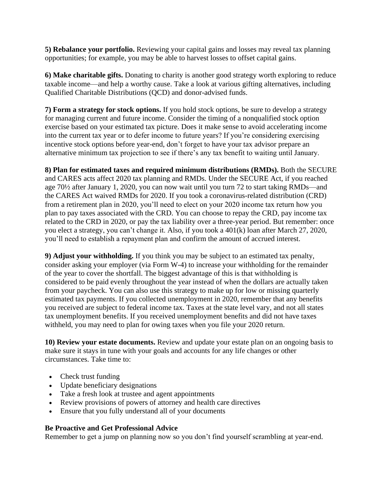**5) Rebalance your portfolio.** Reviewing your capital gains and losses may reveal tax planning opportunities; for example, you may be able to harvest losses to offset capital gains.

**6) Make charitable gifts.** Donating to charity is another good strategy worth exploring to reduce taxable income—and help a worthy cause. Take a look at various gifting alternatives, including Qualified Charitable Distributions (QCD) and donor-advised funds.

**7) Form a strategy for stock options.** If you hold stock options, be sure to develop a strategy for managing current and future income. Consider the timing of a nonqualified stock option exercise based on your estimated tax picture. Does it make sense to avoid accelerating income into the current tax year or to defer income to future years? If you're considering exercising incentive stock options before year-end, don't forget to have your tax advisor prepare an alternative minimum tax projection to see if there's any tax benefit to waiting until January.

**8) Plan for estimated taxes and required minimum distributions (RMDs).** Both the SECURE and CARES acts affect 2020 tax planning and RMDs. Under the SECURE Act, if you reached age 70½ after January 1, 2020, you can now wait until you turn 72 to start taking RMDs—and the CARES Act waived RMDs for 2020. If you took a coronavirus-related distribution (CRD) from a retirement plan in 2020, you'll need to elect on your 2020 income tax return how you plan to pay taxes associated with the CRD. You can choose to repay the CRD, pay income tax related to the CRD in 2020, or pay the tax liability over a three-year period. But remember: once you elect a strategy, you can't change it. Also, if you took a 401(k) loan after March 27, 2020, you'll need to establish a repayment plan and confirm the amount of accrued interest.

**9) Adjust your withholding.** If you think you may be subject to an estimated tax penalty, consider asking your employer (via Form W-4) to increase your withholding for the remainder of the year to cover the shortfall. The biggest advantage of this is that withholding is considered to be paid evenly throughout the year instead of when the dollars are actually taken from your paycheck. You can also use this strategy to make up for low or missing quarterly estimated tax payments. If you collected unemployment in 2020, remember that any benefits you received are subject to federal income tax. Taxes at the state level vary, and not all states tax unemployment benefits. If you received unemployment benefits and did not have taxes withheld, you may need to plan for owing taxes when you file your 2020 return.

**10) Review your estate documents.** Review and update your estate plan on an ongoing basis to make sure it stays in tune with your goals and accounts for any life changes or other circumstances. Take time to:

- Check trust funding
- Update beneficiary designations
- Take a fresh look at trustee and agent appointments
- Review provisions of powers of attorney and health care directives
- Ensure that you fully understand all of your documents

## **Be Proactive and Get Professional Advice**

Remember to get a jump on planning now so you don't find yourself scrambling at year-end.